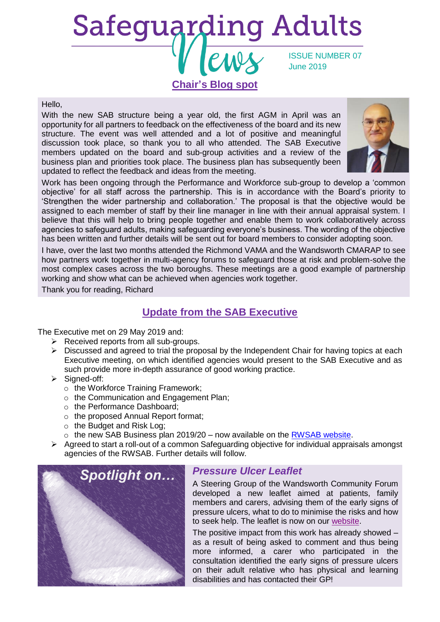# **Safeguarding Adults** ISSUE NUMBER 07 June 2019 **Chair's Blog spot**

#### Hello,

With the new SAB structure being a year old, the first AGM in April was an opportunity for all partners to feedback on the effectiveness of the board and its new structure. The event was well attended and a lot of positive and meaningful discussion took place, so thank you to all who attended. The SAB Executive members updated on the board and sub-group activities and a review of the business plan and priorities took place. The business plan has subsequently been updated to reflect the feedback and ideas from the meeting.



Work has been ongoing through the Performance and Workforce sub-group to develop a 'common objective' for all staff across the partnership. This is in accordance with the Board's priority to 'Strengthen the wider partnership and collaboration.' The proposal is that the objective would be assigned to each member of staff by their line manager in line with their annual appraisal system. I believe that this will help to bring people together and enable them to work collaboratively across agencies to safeguard adults, making safeguarding everyone's business. The wording of the objective has been written and further details will be sent out for board members to consider adopting soon.

I have, over the last two months attended the Richmond VAMA and the Wandsworth CMARAP to see how partners work together in multi-agency forums to safeguard those at risk and problem-solve the most complex cases across the two boroughs. These meetings are a good example of partnership working and show what can be achieved when agencies work together.

Thank you for reading, Richard

## **Update from the SAB Executive**

The Executive met on 29 May 2019 and:

- $\triangleright$  Received reports from all sub-groups.
- $\triangleright$  Discussed and agreed to trial the proposal by the Independent Chair for having topics at each Executive meeting, on which identified agencies would present to the SAB Executive and as such provide more in-depth assurance of good working practice.
- ➢ Signed-off:
	- o the Workforce Training Framework;
	- o the Communication and Engagement Plan;
	- o the Performance Dashboard;
	- o the proposed Annual Report format;
	- o the Budget and Risk Log;
	- $\circ$  the new SAB Business plan 2019/20 now available on the [RWSAB website.](https://www.richmond.gov.uk/council/how_we_work/partnerships/sab/about_the_safeguarding_adults_board)
- ➢ Agreed to start a roll-out of a common Safeguarding objective for individual appraisals amongst agencies of the RWSAB. Further details will follow.



#### *Pressure Ulcer Leaflet*

A Steering Group of the Wandsworth Community Forum developed a new leaflet aimed at patients, family members and carers, advising them of the early signs of pressure ulcers, what to do to minimise the risks and how to seek help. The leaflet is now on our [website.](https://www.richmond.gov.uk/council/how_we_work/partnerships/sab/safeguarding_adults_board_resources#leaflets)

The positive impact from this work has already showed – as a result of being asked to comment and thus being more informed, a carer who participated in the consultation identified the early signs of pressure ulcers on their adult relative who has physical and learning disabilities and has contacted their GP!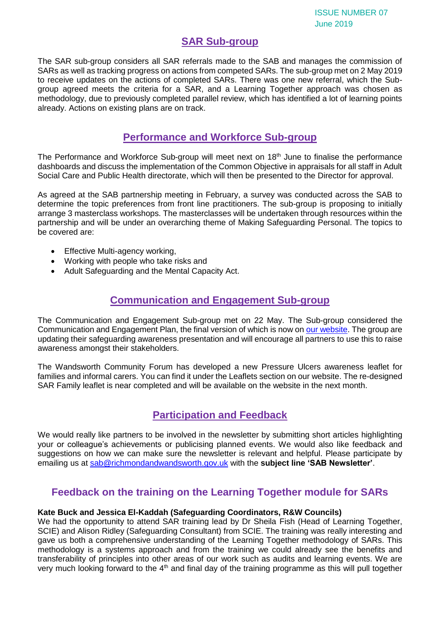# **SAR Sub-group**

The SAR sub-group considers all SAR referrals made to the SAB and manages the commission of SARs as well as tracking progress on actions from competed SARs. The sub-group met on 2 May 2019 to receive updates on the actions of completed SARs. There was one new referral, which the Subgroup agreed meets the criteria for a SAR, and a Learning Together approach was chosen as methodology, due to previously completed parallel review, which has identified a lot of learning points already. Actions on existing plans are on track.

## **Performance and Workforce Sub-group**

The Performance and Workforce Sub-group will meet next on  $18<sup>th</sup>$  June to finalise the performance dashboards and discuss the implementation of the Common Objective in appraisals for all staff in Adult Social Care and Public Health directorate, which will then be presented to the Director for approval.

As agreed at the SAB partnership meeting in February, a survey was conducted across the SAB to determine the topic preferences from front line practitioners. The sub-group is proposing to initially arrange 3 masterclass workshops. The masterclasses will be undertaken through resources within the partnership and will be under an overarching theme of Making Safeguarding Personal. The topics to be covered are:

- Effective Multi-agency working,
- Working with people who take risks and
- Adult Safeguarding and the Mental Capacity Act.

### **Communication and Engagement Sub-group**

The Communication and Engagement Sub-group met on 22 May. The Sub-group considered the Communication and Engagement Plan, the final version of which is now on [our website.](https://www.richmond.gov.uk/council/how_we_work/partnerships/sab/safeguarding_adults_board_subgroups#communication_subgroup) The group are updating their safeguarding awareness presentation and will encourage all partners to use this to raise awareness amongst their stakeholders.

The Wandsworth Community Forum has developed a new Pressure Ulcers awareness leaflet for families and informal carers. You can find it under the Leaflets section on our website. The re-designed SAR Family leaflet is near completed and will be available on the website in the next month.

# **Participation and Feedback**

We would really like partners to be involved in the newsletter by submitting short articles highlighting your or colleague's achievements or publicising planned events. We would also like feedback and suggestions on how we can make sure the newsletter is relevant and helpful. Please participate by emailing us at [sab@richmondandwandsworth.gov.uk](mailto:sab@richmondandwandsworth.gov.uk) with the **subject line 'SAB Newsletter'**.

# **Feedback on the training on the Learning Together module for SARs**

#### **Kate Buck and Jessica El-Kaddah (Safeguarding Coordinators, R&W Councils)**

We had the opportunity to attend SAR training lead by Dr Sheila Fish (Head of Learning Together, SCIE) and Alison Ridley (Safeguarding Consultant) from SCIE. The training was really interesting and gave us both a comprehensive understanding of the Learning Together methodology of SARs. This methodology is a systems approach and from the training we could already see the benefits and transferability of principles into other areas of our work such as audits and learning events. We are very much looking forward to the  $4<sup>th</sup>$  and final day of the training programme as this will pull together